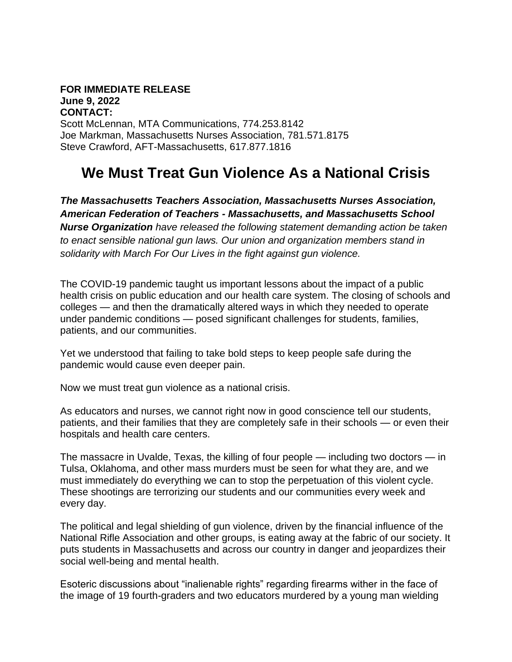## **FOR IMMEDIATE RELEASE June 9, 2022 CONTACT:**

Scott McLennan, MTA Communications, 774.253.8142 Joe Markman, Massachusetts Nurses Association, 781.571.8175 Steve Crawford, AFT-Massachusetts, 617.877.1816

## **We Must Treat Gun Violence As a National Crisis**

*The Massachusetts Teachers Association, Massachusetts Nurses Association, American Federation of Teachers - Massachusetts, and Massachusetts School Nurse Organization have released the following statement demanding action be taken to enact sensible national gun laws. Our union and organization members stand in solidarity with March For Our Lives in the fight against gun violence.*

The COVID-19 pandemic taught us important lessons about the impact of a public health crisis on public education and our health care system. The closing of schools and colleges — and then the dramatically altered ways in which they needed to operate under pandemic conditions — posed significant challenges for students, families, patients, and our communities.

Yet we understood that failing to take bold steps to keep people safe during the pandemic would cause even deeper pain.

Now we must treat gun violence as a national crisis.

As educators and nurses, we cannot right now in good conscience tell our students, patients, and their families that they are completely safe in their schools — or even their hospitals and health care centers.

The massacre in Uvalde, Texas, the killing of four people — including two doctors — in Tulsa, Oklahoma, and other mass murders must be seen for what they are, and we must immediately do everything we can to stop the perpetuation of this violent cycle. These shootings are terrorizing our students and our communities every week and every day.

The political and legal shielding of gun violence, driven by the financial influence of the National Rifle Association and other groups, is eating away at the fabric of our society. It puts students in Massachusetts and across our country in danger and jeopardizes their social well-being and mental health.

Esoteric discussions about "inalienable rights" regarding firearms wither in the face of the image of 19 fourth-graders and two educators murdered by a young man wielding